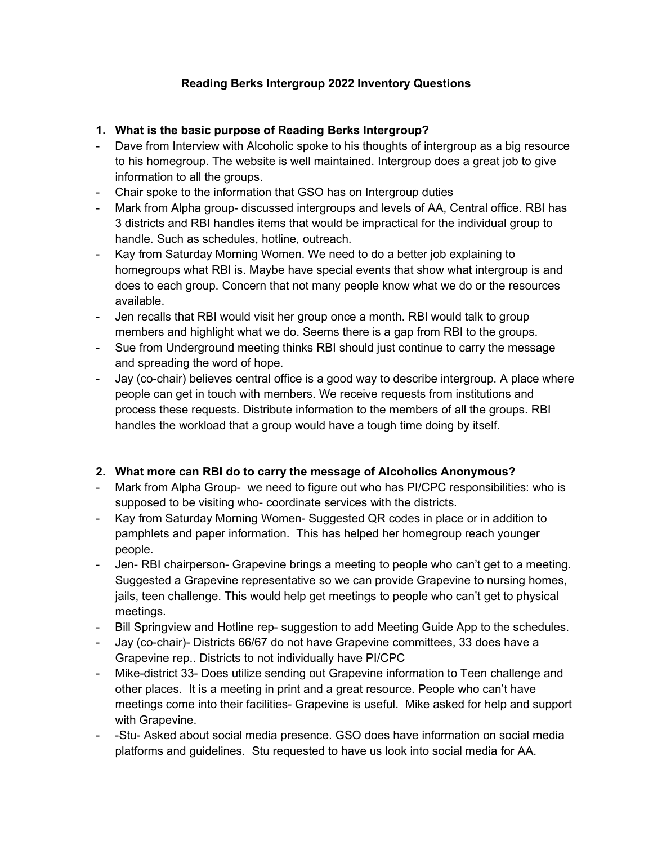# Reading Berks Intergroup 2022 Inventory Questions

# 1. What is the basic purpose of Reading Berks Intergroup?

- Dave from Interview with Alcoholic spoke to his thoughts of intergroup as a big resource to his homegroup. The website is well maintained. Intergroup does a great job to give information to all the groups.
- Chair spoke to the information that GSO has on Intergroup duties
- Mark from Alpha group- discussed intergroups and levels of AA, Central office. RBI has 3 districts and RBI handles items that would be impractical for the individual group to handle. Such as schedules, hotline, outreach.
- Kay from Saturday Morning Women. We need to do a better job explaining to homegroups what RBI is. Maybe have special events that show what intergroup is and does to each group. Concern that not many people know what we do or the resources available.
- Jen recalls that RBI would visit her group once a month. RBI would talk to group members and highlight what we do. Seems there is a gap from RBI to the groups.
- Sue from Underground meeting thinks RBI should just continue to carry the message and spreading the word of hope.
- Jay (co-chair) believes central office is a good way to describe intergroup. A place where people can get in touch with members. We receive requests from institutions and process these requests. Distribute information to the members of all the groups. RBI handles the workload that a group would have a tough time doing by itself.

## 2. What more can RBI do to carry the message of Alcoholics Anonymous?

- Mark from Alpha Group- we need to figure out who has PI/CPC responsibilities: who is supposed to be visiting who- coordinate services with the districts.
- Kay from Saturday Morning Women- Suggested QR codes in place or in addition to pamphlets and paper information. This has helped her homegroup reach younger people.
- Jen- RBI chairperson- Grapevine brings a meeting to people who can't get to a meeting. Suggested a Grapevine representative so we can provide Grapevine to nursing homes, jails, teen challenge. This would help get meetings to people who can't get to physical meetings.
- Bill Springview and Hotline rep- suggestion to add Meeting Guide App to the schedules.
- Jay (co-chair)- Districts 66/67 do not have Grapevine committees, 33 does have a Grapevine rep.. Districts to not individually have PI/CPC
- Mike-district 33- Does utilize sending out Grapevine information to Teen challenge and other places. It is a meeting in print and a great resource. People who can't have meetings come into their facilities- Grapevine is useful. Mike asked for help and support with Grapevine.
- -Stu- Asked about social media presence. GSO does have information on social media platforms and guidelines. Stu requested to have us look into social media for AA.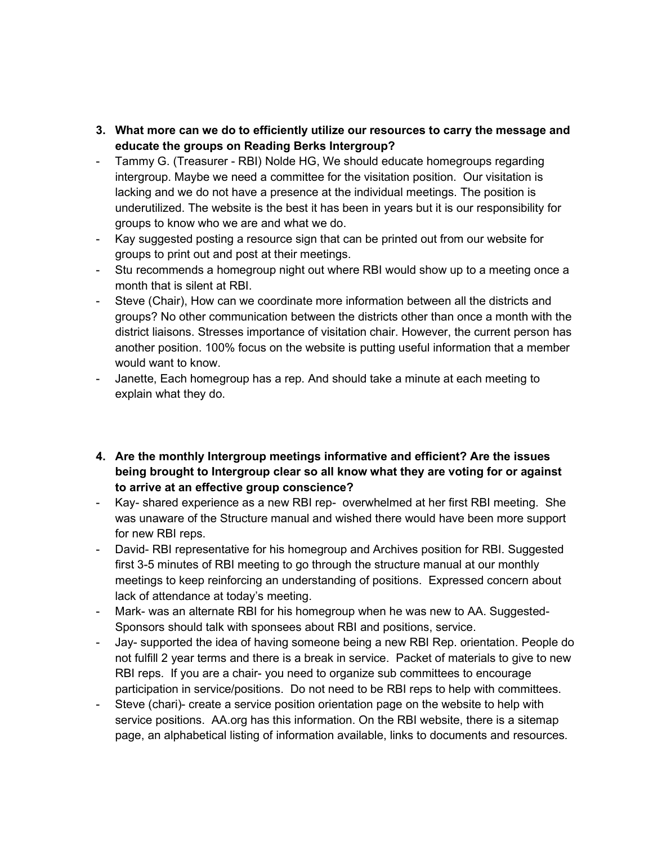- 3. What more can we do to efficiently utilize our resources to carry the message and educate the groups on Reading Berks Intergroup?
- Tammy G. (Treasurer RBI) Nolde HG, We should educate homegroups regarding intergroup. Maybe we need a committee for the visitation position. Our visitation is lacking and we do not have a presence at the individual meetings. The position is underutilized. The website is the best it has been in years but it is our responsibility for groups to know who we are and what we do.
- Kay suggested posting a resource sign that can be printed out from our website for groups to print out and post at their meetings.
- Stu recommends a homegroup night out where RBI would show up to a meeting once a month that is silent at RBI.
- Steve (Chair), How can we coordinate more information between all the districts and groups? No other communication between the districts other than once a month with the district liaisons. Stresses importance of visitation chair. However, the current person has another position. 100% focus on the website is putting useful information that a member would want to know.
- Janette, Each homegroup has a rep. And should take a minute at each meeting to explain what they do.
- 4. Are the monthly Intergroup meetings informative and efficient? Are the issues being brought to Intergroup clear so all know what they are voting for or against to arrive at an effective group conscience?
- Kay- shared experience as a new RBI rep- overwhelmed at her first RBI meeting. She was unaware of the Structure manual and wished there would have been more support for new RBI reps.
- David- RBI representative for his homegroup and Archives position for RBI. Suggested first 3-5 minutes of RBI meeting to go through the structure manual at our monthly meetings to keep reinforcing an understanding of positions. Expressed concern about lack of attendance at today's meeting.
- Mark- was an alternate RBI for his homegroup when he was new to AA. Suggested-Sponsors should talk with sponsees about RBI and positions, service.
- Jay- supported the idea of having someone being a new RBI Rep. orientation. People do not fulfill 2 year terms and there is a break in service. Packet of materials to give to new RBI reps. If you are a chair- you need to organize sub committees to encourage participation in service/positions. Do not need to be RBI reps to help with committees.
- Steve (chari)- create a service position orientation page on the website to help with service positions. AA.org has this information. On the RBI website, there is a sitemap page, an alphabetical listing of information available, links to documents and resources.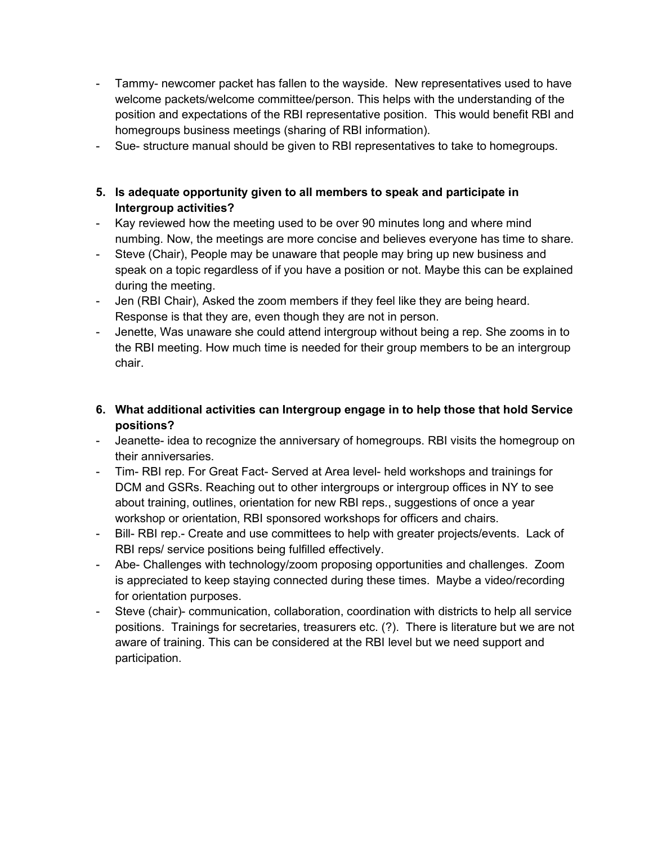- Tammy- newcomer packet has fallen to the wayside. New representatives used to have welcome packets/welcome committee/person. This helps with the understanding of the position and expectations of the RBI representative position. This would benefit RBI and homegroups business meetings (sharing of RBI information).
- Sue- structure manual should be given to RBI representatives to take to homegroups.
- 5. Is adequate opportunity given to all members to speak and participate in Intergroup activities?
- Kay reviewed how the meeting used to be over 90 minutes long and where mind numbing. Now, the meetings are more concise and believes everyone has time to share.
- Steve (Chair), People may be unaware that people may bring up new business and speak on a topic regardless of if you have a position or not. Maybe this can be explained during the meeting.
- Jen (RBI Chair), Asked the zoom members if they feel like they are being heard. Response is that they are, even though they are not in person.
- Jenette, Was unaware she could attend intergroup without being a rep. She zooms in to the RBI meeting. How much time is needed for their group members to be an intergroup chair.
- 6. What additional activities can Intergroup engage in to help those that hold Service positions?
- Jeanette- idea to recognize the anniversary of homegroups. RBI visits the homegroup on their anniversaries.
- Tim- RBI rep. For Great Fact- Served at Area level- held workshops and trainings for DCM and GSRs. Reaching out to other intergroups or intergroup offices in NY to see about training, outlines, orientation for new RBI reps., suggestions of once a year workshop or orientation, RBI sponsored workshops for officers and chairs.
- Bill- RBI rep.- Create and use committees to help with greater projects/events. Lack of RBI reps/ service positions being fulfilled effectively.
- Abe- Challenges with technology/zoom proposing opportunities and challenges. Zoom is appreciated to keep staying connected during these times. Maybe a video/recording for orientation purposes.
- Steve (chair)- communication, collaboration, coordination with districts to help all service positions. Trainings for secretaries, treasurers etc. (?). There is literature but we are not aware of training. This can be considered at the RBI level but we need support and participation.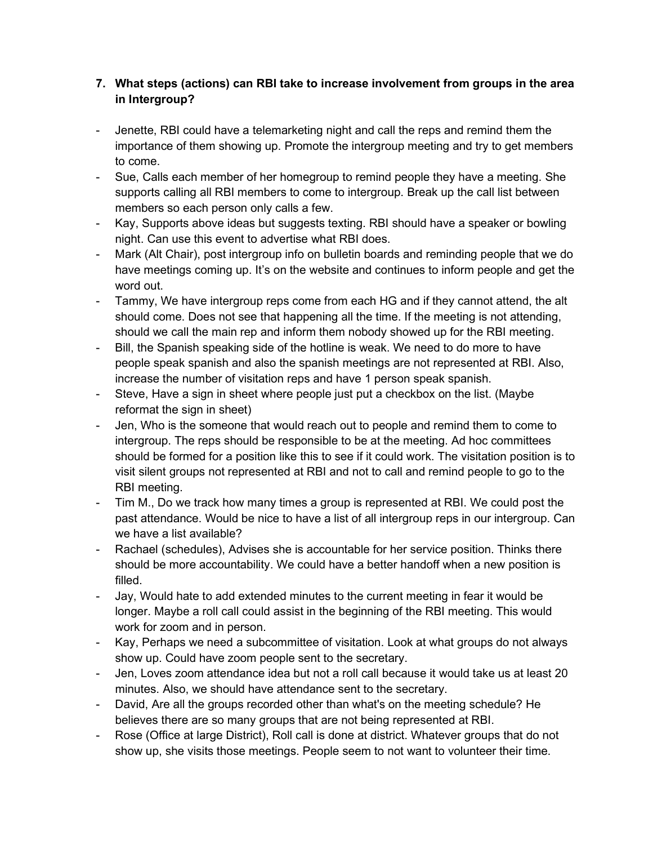# 7. What steps (actions) can RBI take to increase involvement from groups in the area in Intergroup?

- Jenette, RBI could have a telemarketing night and call the reps and remind them the importance of them showing up. Promote the intergroup meeting and try to get members to come.
- Sue, Calls each member of her homegroup to remind people they have a meeting. She supports calling all RBI members to come to intergroup. Break up the call list between members so each person only calls a few.
- Kay, Supports above ideas but suggests texting. RBI should have a speaker or bowling night. Can use this event to advertise what RBI does.
- Mark (Alt Chair), post intergroup info on bulletin boards and reminding people that we do have meetings coming up. It's on the website and continues to inform people and get the word out.
- Tammy, We have intergroup reps come from each HG and if they cannot attend, the alt should come. Does not see that happening all the time. If the meeting is not attending, should we call the main rep and inform them nobody showed up for the RBI meeting.
- Bill, the Spanish speaking side of the hotline is weak. We need to do more to have people speak spanish and also the spanish meetings are not represented at RBI. Also, increase the number of visitation reps and have 1 person speak spanish.
- Steve, Have a sign in sheet where people just put a checkbox on the list. (Maybe reformat the sign in sheet)
- Jen, Who is the someone that would reach out to people and remind them to come to intergroup. The reps should be responsible to be at the meeting. Ad hoc committees should be formed for a position like this to see if it could work. The visitation position is to visit silent groups not represented at RBI and not to call and remind people to go to the RBI meeting.
- Tim M., Do we track how many times a group is represented at RBI. We could post the past attendance. Would be nice to have a list of all intergroup reps in our intergroup. Can we have a list available?
- Rachael (schedules), Advises she is accountable for her service position. Thinks there should be more accountability. We could have a better handoff when a new position is filled.
- Jay, Would hate to add extended minutes to the current meeting in fear it would be longer. Maybe a roll call could assist in the beginning of the RBI meeting. This would work for zoom and in person.
- Kay, Perhaps we need a subcommittee of visitation. Look at what groups do not always show up. Could have zoom people sent to the secretary.
- Jen, Loves zoom attendance idea but not a roll call because it would take us at least 20 minutes. Also, we should have attendance sent to the secretary.
- David, Are all the groups recorded other than what's on the meeting schedule? He believes there are so many groups that are not being represented at RBI.
- Rose (Office at large District), Roll call is done at district. Whatever groups that do not show up, she visits those meetings. People seem to not want to volunteer their time.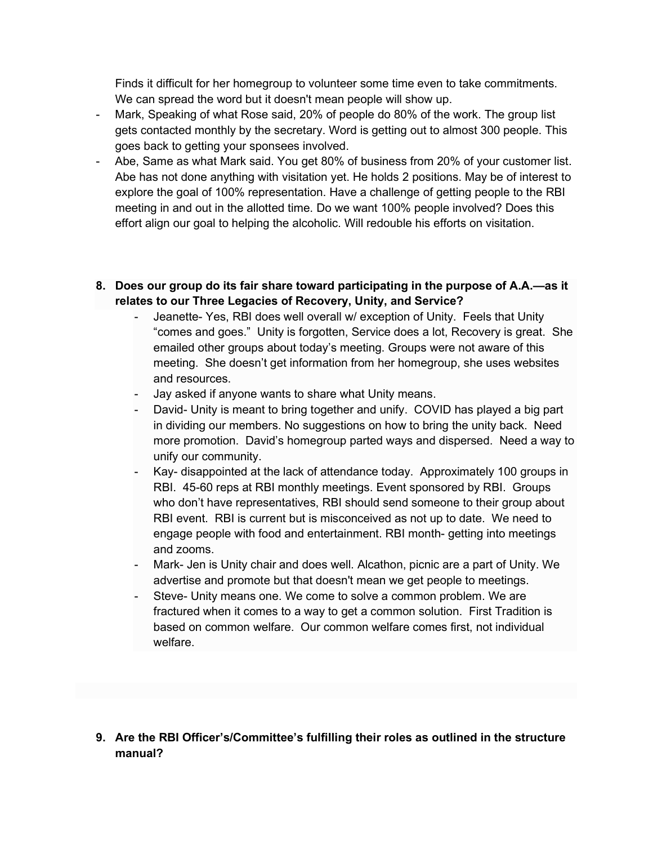Finds it difficult for her homegroup to volunteer some time even to take commitments. We can spread the word but it doesn't mean people will show up.

- Mark, Speaking of what Rose said, 20% of people do 80% of the work. The group list gets contacted monthly by the secretary. Word is getting out to almost 300 people. This goes back to getting your sponsees involved.
- Abe, Same as what Mark said. You get 80% of business from 20% of your customer list. Abe has not done anything with visitation yet. He holds 2 positions. May be of interest to explore the goal of 100% representation. Have a challenge of getting people to the RBI meeting in and out in the allotted time. Do we want 100% people involved? Does this effort align our goal to helping the alcoholic. Will redouble his efforts on visitation.
- 8. Does our group do its fair share toward participating in the purpose of A.A.—as it relates to our Three Legacies of Recovery, Unity, and Service?
	- Jeanette- Yes, RBI does well overall w/ exception of Unity. Feels that Unity "comes and goes." Unity is forgotten, Service does a lot, Recovery is great. She emailed other groups about today's meeting. Groups were not aware of this meeting. She doesn't get information from her homegroup, she uses websites and resources.
	- Jay asked if anyone wants to share what Unity means.
	- David- Unity is meant to bring together and unify. COVID has played a big part in dividing our members. No suggestions on how to bring the unity back. Need more promotion. David's homegroup parted ways and dispersed. Need a way to unify our community.
	- Kay- disappointed at the lack of attendance today. Approximately 100 groups in RBI. 45-60 reps at RBI monthly meetings. Event sponsored by RBI. Groups who don't have representatives, RBI should send someone to their group about RBI event. RBI is current but is misconceived as not up to date. We need to engage people with food and entertainment. RBI month- getting into meetings and zooms.
	- Mark- Jen is Unity chair and does well. Alcathon, picnic are a part of Unity. We advertise and promote but that doesn't mean we get people to meetings.
	- Steve- Unity means one. We come to solve a common problem. We are fractured when it comes to a way to get a common solution. First Tradition is based on common welfare. Our common welfare comes first, not individual welfare.
- 9. Are the RBI Officer's/Committee's fulfilling their roles as outlined in the structure manual?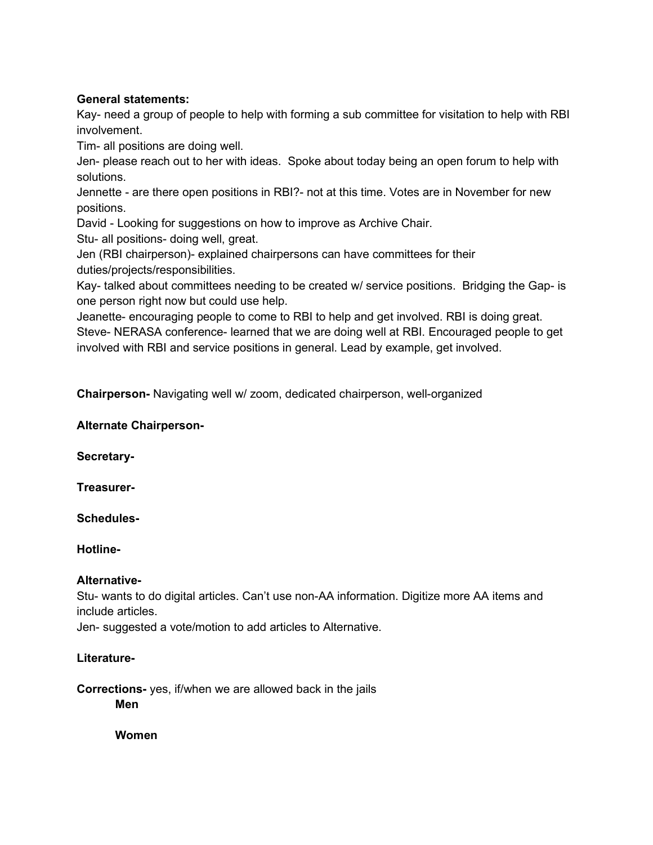### General statements:

Kay- need a group of people to help with forming a sub committee for visitation to help with RBI involvement.

Tim- all positions are doing well.

Jen- please reach out to her with ideas. Spoke about today being an open forum to help with solutions.

Jennette - are there open positions in RBI?- not at this time. Votes are in November for new positions.

David - Looking for suggestions on how to improve as Archive Chair.

Stu- all positions- doing well, great.

Jen (RBI chairperson)- explained chairpersons can have committees for their duties/projects/responsibilities.

Kay- talked about committees needing to be created w/ service positions. Bridging the Gap- is one person right now but could use help.

Jeanette- encouraging people to come to RBI to help and get involved. RBI is doing great. Steve- NERASA conference- learned that we are doing well at RBI. Encouraged people to get involved with RBI and service positions in general. Lead by example, get involved.

Chairperson- Navigating well w/ zoom, dedicated chairperson, well-organized

### Alternate Chairperson-

Secretary-

Treasurer-

Schedules-

Hotline-

## Alternative-

Stu- wants to do digital articles. Can't use non-AA information. Digitize more AA items and include articles.

Jen- suggested a vote/motion to add articles to Alternative.

## Literature-

Corrections- yes, if/when we are allowed back in the jails Men

Women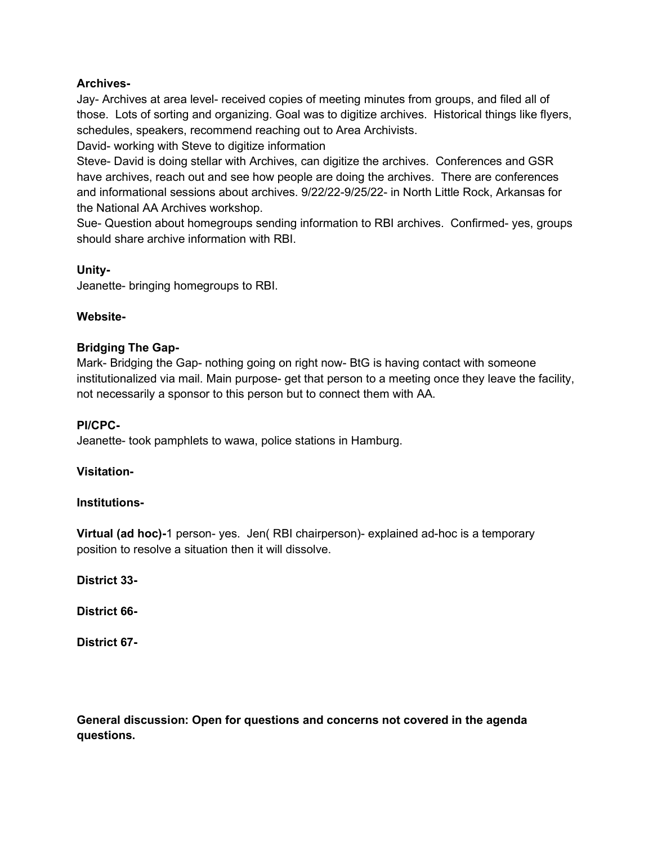### Archives-

Jay- Archives at area level- received copies of meeting minutes from groups, and filed all of those. Lots of sorting and organizing. Goal was to digitize archives. Historical things like flyers, schedules, speakers, recommend reaching out to Area Archivists.

David- working with Steve to digitize information

Steve- David is doing stellar with Archives, can digitize the archives. Conferences and GSR have archives, reach out and see how people are doing the archives. There are conferences and informational sessions about archives. 9/22/22-9/25/22- in North Little Rock, Arkansas for the National AA Archives workshop.

Sue- Question about homegroups sending information to RBI archives. Confirmed- yes, groups should share archive information with RBI.

#### Unity-

Jeanette- bringing homegroups to RBI.

### Website-

### Bridging The Gap-

Mark- Bridging the Gap- nothing going on right now- BtG is having contact with someone institutionalized via mail. Main purpose- get that person to a meeting once they leave the facility, not necessarily a sponsor to this person but to connect them with AA.

#### PI/CPC-

Jeanette- took pamphlets to wawa, police stations in Hamburg.

#### Visitation-

#### Institutions-

Virtual (ad hoc)-1 person- yes. Jen( RBI chairperson)- explained ad-hoc is a temporary position to resolve a situation then it will dissolve.

District 33-

District 66-

District 67-

General discussion: Open for questions and concerns not covered in the agenda questions.